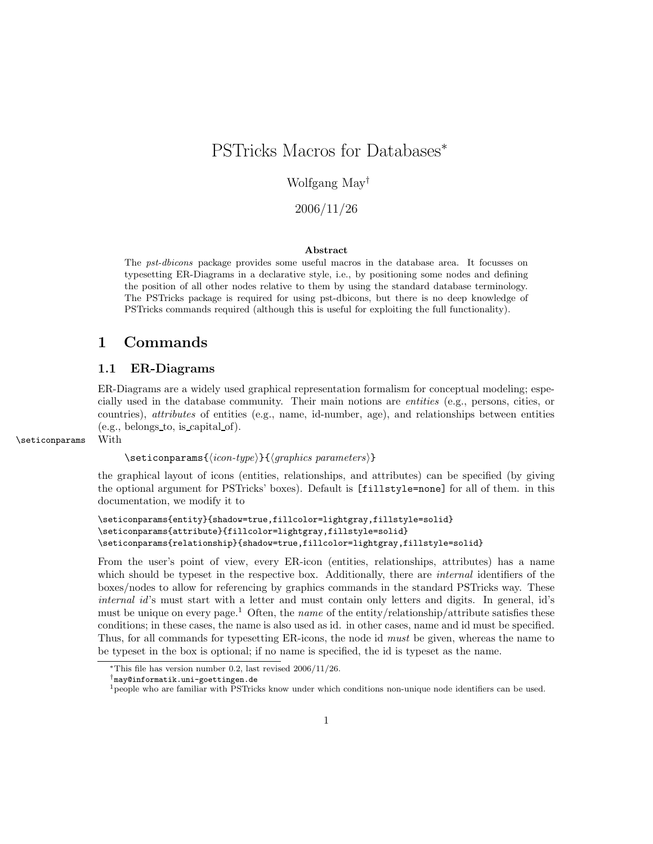# PSTricks Macros for Databases<sup>∗</sup>

Wolfgang May†

2006/11/26

#### Abstract

The pst-dbicons package provides some useful macros in the database area. It focusses on typesetting ER-Diagrams in a declarative style, i.e., by positioning some nodes and defining the position of all other nodes relative to them by using the standard database terminology. The PSTricks package is required for using pst-dbicons, but there is no deep knowledge of PSTricks commands required (although this is useful for exploiting the full functionality).

## 1 Commands

## 1.1 ER-Diagrams

ER-Diagrams are a widely used graphical representation formalism for conceptual modeling; especially used in the database community. Their main notions are entities (e.g., persons, cities, or countries), attributes of entities (e.g., name, id-number, age), and relationships between entities (e.g., belongs to, is capital of).

\seticonparams With

 $\setminus$ seticonparams $\{\langle icon-type\rangle\}\{\langle graphics\ parameters\rangle\}$ 

the graphical layout of icons (entities, relationships, and attributes) can be specified (by giving the optional argument for PSTricks' boxes). Default is [fillstyle=none] for all of them. in this documentation, we modify it to

```
\seticonparams{entity}{shadow=true,fillcolor=lightgray,fillstyle=solid}
\seticonparams{attribute}{fillcolor=lightgray,fillstyle=solid}
\seticonparams{relationship}{shadow=true,fillcolor=lightgray,fillstyle=solid}
```
From the user's point of view, every ER-icon (entities, relationships, attributes) has a name which should be typeset in the respective box. Additionally, there are *internal* identifiers of the boxes/nodes to allow for referencing by graphics commands in the standard PSTricks way. These internal id's must start with a letter and must contain only letters and digits. In general, id's must be unique on every page.<sup>1</sup> Often, the *name* of the entity/relationship/attribute satisfies these conditions; in these cases, the name is also used as id. in other cases, name and id must be specified. Thus, for all commands for typesetting ER-icons, the node id must be given, whereas the name to be typeset in the box is optional; if no name is specified, the id is typeset as the name.

<sup>∗</sup>This file has version number 0.2, last revised 2006/11/26.

<sup>†</sup>may@informatik.uni-goettingen.de

<sup>1</sup>people who are familiar with PSTricks know under which conditions non-unique node identifiers can be used.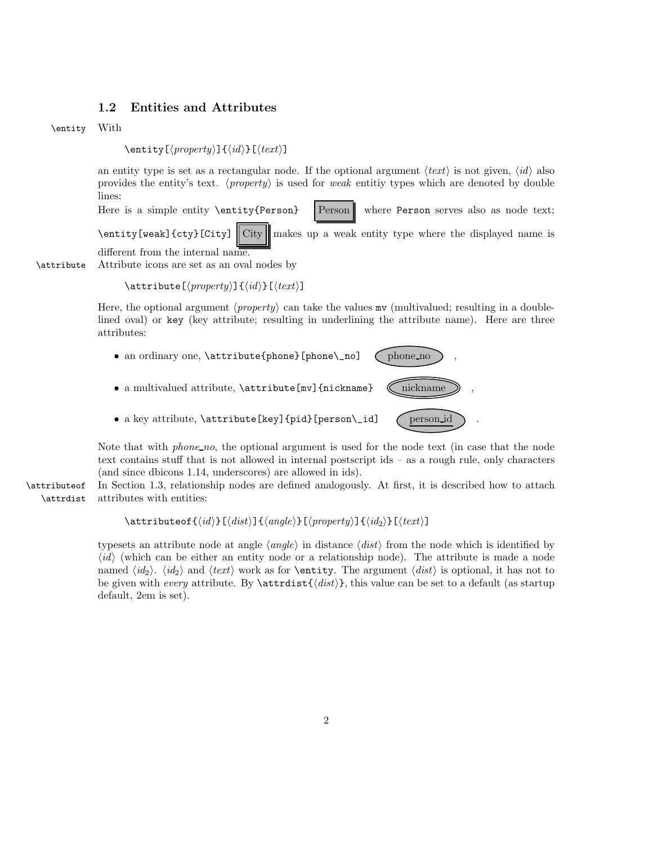## 1.2 Entities and Attributes

\entity With

\entity  $[\langle property \rangle] {\langle id \rangle} [\langle text \rangle]$ 

an entity type is set as a rectangular node. If the optional argument  $\langle text \rangle$  is not given,  $\langle id \rangle$  also provides the entity's text.  $\langle property \rangle$  is used for *weak* entitiy types which are denoted by double lines:

Here is a simple entity \entity{Person} | Person | where Person serves also as node text;

\entity[weak]{cty}[City]  $\Vert$  City  $\Vert$  makes up a weak entity type where the displayed name is

different from the internal name.

\attribute Attribute icons are set as an oval nodes by

\attribute[ $\langle property \rangle$ ]{ $\langle id \rangle$ }[ $\langle text \rangle$ ]

Here, the optional argument  $\langle property \rangle$  can take the values mv (multivalued; resulting in a doublelined oval) or key (key attribute; resulting in underlining the attribute name). Here are three attributes:

- an ordinary one,  $\text{interplane}\pmod{p}$  phone  $\cap$
- a multivalued attribute,  $\text{inv}$  (nickname ) (nickname
- a key attribute,  $\atop \text{isom}(\pi)$  [person $\id$  | person id

Note that with *phone no*, the optional argument is used for the node text (in case that the node text contains stuff that is not allowed in internal postscript ids – as a rough rule, only characters (and since dbicons 1.14, underscores) are allowed in ids).

\attributeof In Section 1.3, relationship nodes are defined analogously. At first, it is described how to attach \attrdist attributes with entities:

\attributeof{ $\{id\}$ [ $\{dist\}$ ]{ $\{angle\}$ [ $\{property\}$ ]{ $\{id_2\}$ [ $\{text\}$ ]

typesets an attribute node at angle  $\langle angle \rangle$  in distance  $\langle dist \rangle$  from the node which is identified by  $\langle id \rangle$  (which can be either an entity node or a relationship node). The attribute is made a node named  $\langle id_2 \rangle$ .  $\langle id_2 \rangle$  and  $\langle text \rangle$  work as for \entity. The argument  $\langle dist \rangle$  is optional, it has not to be given with every attribute. By  $\text{dist}\}(dist)$ , this value can be set to a default (as startup default, 2em is set).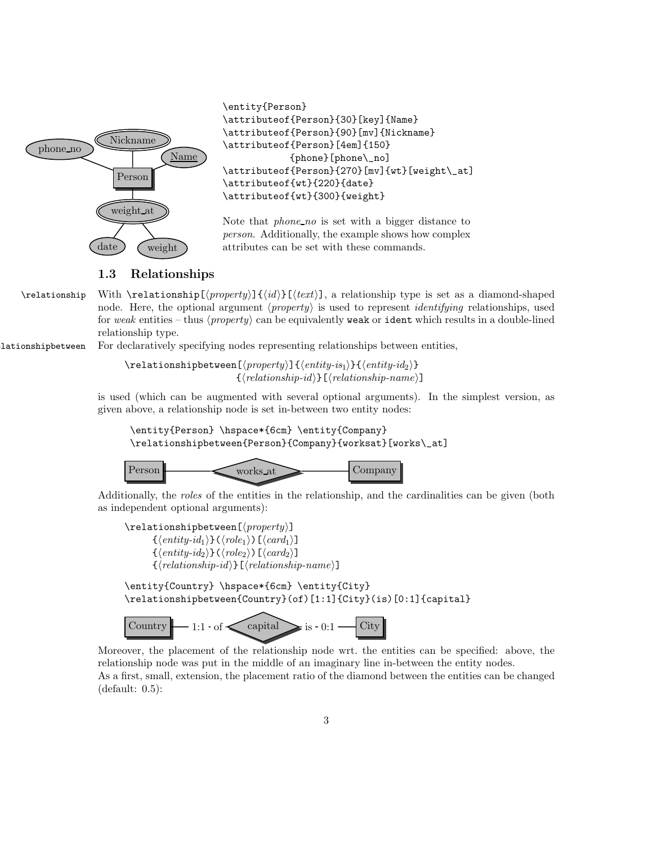

\entity{Person} \attributeof{Person}{30}[key]{Name} \attributeof{Person}{90}[mv]{Nickname} \attributeof{Person}[4em]{150} {phone}[phone\\_no] \attributeof{Person}{270}[mv]{wt}[weight\\_at] \attributeof{wt}{220}{date} \attributeof{wt}{300}{weight}

Note that *phone no* is set with a bigger distance to person. Additionally, the example shows how complex attributes can be set with these commands.

## 1.3 Relationships

 $\text{Vrelationship}$  With  $\text{relationship}[\text{poly}](\text{old})$ , a relationship type is set as a diamond-shaped node. Here, the optional argument  $\langle property \rangle$  is used to represent *identifying* relationships, used for weak entities – thus  $\langle property \rangle$  can be equivalently weak or ident which results in a double-lined relationship type.

lationshipbetween For declaratively specifying nodes representing relationships between entities,

 $\text{relationshipbetween}[\langle property\rangle]{\{\entity-is_1\}}{\{entity-id_2\}}$  $\{\langle relationship-id \rangle\}$ [ $\langle relationship-name \rangle$ ]

is used (which can be augmented with several optional arguments). In the simplest version, as given above, a relationship node is set in-between two entity nodes:

\entity{Person} \hspace\*{6cm} \entity{Company} \relationshipbetween{Person}{Company}{worksat}[works\\_at]



Additionally, the roles of the entities in the relationship, and the cardinalities can be given (both as independent optional arguments):

 $\text{relationshipbetween}[\langle property\rangle]$  $\{\langle entity-id_1\rangle\}(\langle role_1\rangle)\ [\langle card_1\rangle]$  $\{\langle entity\_id_2\rangle\}(\langle role_2\rangle)[\langle card_2\rangle]$ 

 $\{\langle relationship-id \rangle\}$ [ $\langle relationship-name \rangle$ ]

\entity{Country} \hspace\*{6cm} \entity{City} \relationshipbetween{Country}(of)[1:1]{City}(is)[0:1]{capital}



Moreover, the placement of the relationship node wrt. the entities can be specified: above, the relationship node was put in the middle of an imaginary line in-between the entity nodes. As a first, small, extension, the placement ratio of the diamond between the entities can be changed  $(default: 0.5):$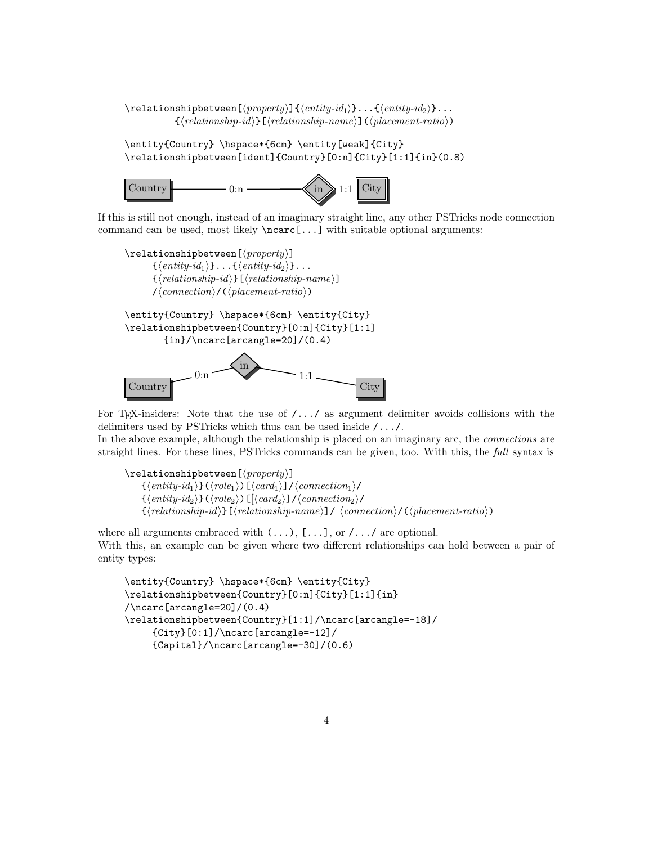```
\text{Nrelationshipbetween}[\langle property \rangle]\{\langle entity-id_1 \rangle\} \dots \{\langle entity-id_2 \rangle\} \dots\{\langle relationship-id \rangle\}[\langle relationship-name \rangle] (\langle placement-ratio \rangle)
```
\entity{Country} \hspace\*{6cm} \entity[weak]{City} \relationshipbetween[ident]{Country}[0:n]{City}[1:1]{in}(0.8)



If this is still not enough, instead of an imaginary straight line, any other PSTricks node connection command can be used, most likely  $\n{\alpha r}$ . J with suitable optional arguments:

 $\text{relationshipbetween}[\langle property\rangle]$  $\{\langle entity-id_1\rangle\} \dots \{\langle entity-id_2\rangle\} \dots$  $\{\langle relationship-id \rangle\}$ [ $\langle relationship-name \rangle$ ]  $/(connection)/(planeement-ratio))$ 

```
\entity{Country} \hspace*{6cm} \entity{City}
\relationshipbetween{Country}[0:n]{City}[1:1]
       {in}/\ncarc[arcangle=20]/(0.4)
```


For T<sub>E</sub>X-insiders: Note that the use of  $/$ ...  $/$  as argument delimiter avoids collisions with the delimiters used by PSTricks which thus can be used inside /.../.

In the above example, although the relationship is placed on an imaginary arc, the connections are straight lines. For these lines, PSTricks commands can be given, too. With this, the full syntax is

 $\text{relationshipbetween}[\langle property\rangle]$  $\{\langle entity\_id_1 \rangle\}(\langle role_1 \rangle) [\langle card_1 \rangle]/\langle connection_1 \rangle/$  $\{\langle entity\_id_2\rangle\}(\langle role_2\rangle)\right[\langle card_2\rangle]/\langle connection_2\rangle/$  $\{\langle relationship\text{-}id\rangle\}[\langle relationship\text{-}name\rangle]\}/\langleconnection\rangle/(\langleplacement\text{-}ratio\rangle)$ 

where all arguments embraced with  $( \ldots )$ ,  $[ \ldots ]$ , or  $/ \ldots /$  are optional. With this, an example can be given where two different relationships can hold between a pair of entity types:

```
\entity{Country} \hspace*{6cm} \entity{City}
\relationshipbetween{Country}[0:n]{City}[1:1]{in}
/\langlencarc[arcangle=20]/(0.4)
\relationshipbetween{Country}[1:1]/\ncarc[arcangle=-18]/
     {City}[0:1]/\ncarc[arcangle=-12]/
     {Capital}/\ncarc[arcangle=-30]/(0.6)
```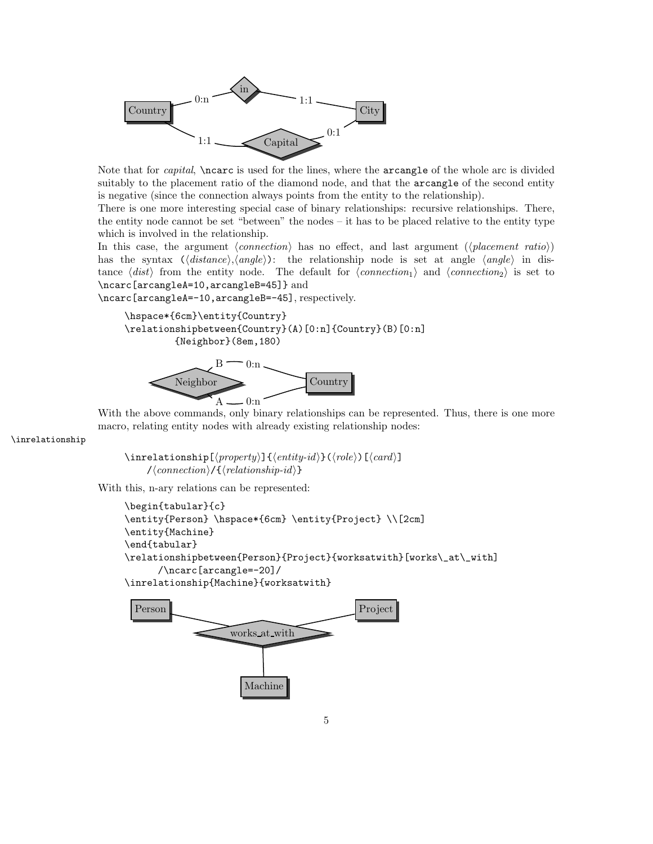

Note that for *capital*, **\ncarc** is used for the lines, where the **arcangle** of the whole arc is divided suitably to the placement ratio of the diamond node, and that the **arcangle** of the second entity is negative (since the connection always points from the entity to the relationship).

There is one more interesting special case of binary relationships: recursive relationships. There, the entity node cannot be set "between" the nodes – it has to be placed relative to the entity type which is involved in the relationship.

In this case, the argument  $\langle connection \rangle$  has no effect, and last argument  $(\langle placement\ ratio \rangle)$ has the syntax  $(\langle distance \rangle, \langle angle \rangle)$ : the relationship node is set at angle  $\langle angle \rangle$  in distance  $\langle dist \rangle$  from the entity node. The default for  $\langle connection_1 \rangle$  and  $\langle connection_2 \rangle$  is set to \ncarc[arcangleA=10,arcangleB=45]} and

\ncarc[arcangleA=-10,arcangleB=-45], respectively.

```
\hspace*{6cm}\entity{Country}
\relationshipbetween{Country}(A)[0:n]{Country}(B)[0:n]
         {Neighbor}(8em,180)
```


With the above commands, only binary relationships can be represented. Thus, there is one more macro, relating entity nodes with already existing relationship nodes:

\inrelationship

 $\infty$ inrelationship $[\langle property \rangle] {\langle entity-id \rangle}({\langle role \rangle})$ [ $\langle card \rangle]$  $/$ \le (connection\{\math{\lationship-id}}

With this, n-ary relations can be represented:

```
\begin{tabular}{c}
\entity{Person} \hspace*{6cm} \entity{Project} \\[2cm]
\entity{Machine}
\end{tabular}
\relationshipbetween{Person}{Project}{worksatwith}[works\_at\_with]
      /\ncarc[arcangle=-20]/
\inrelationship{Machine}{worksatwith}
```
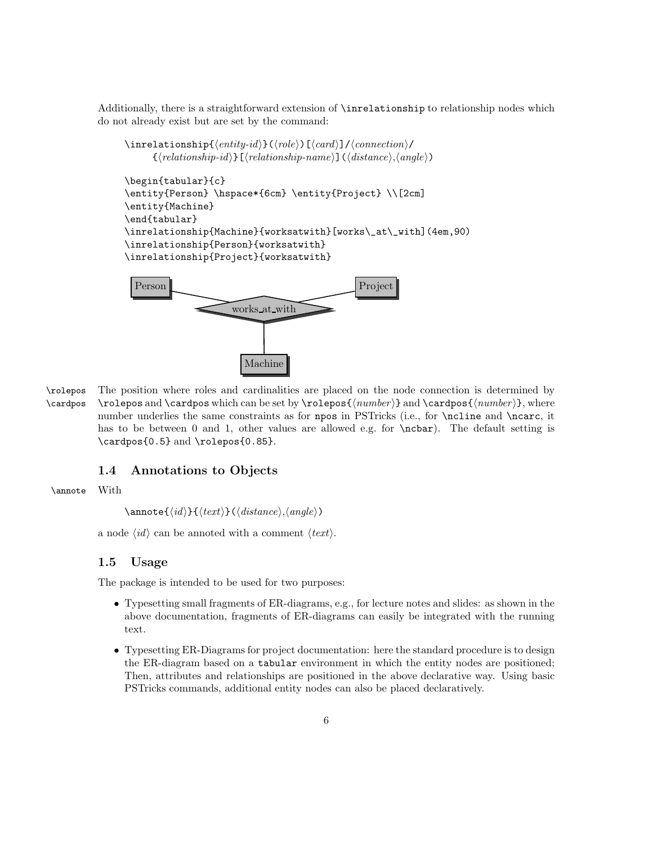Additionally, there is a straightforward extension of \inrelationship to relationship nodes which do not already exist but are set by the command:

```
\inftyinrelationship{\{entity-id\}(\{role\})[\{card\}]/\{connection\}/
      \{\langle relationship-id \rangle\}[\langle relationship-name \rangle]\langle\langle distance \rangle, \langle angle \rangle\rangle\begin{tabular}{c}
\entity{Person} \hspace*{6cm} \entity{Project} \\[2cm]
\entity{Machine}
\end{tabular}
\inrelationship{Machine}{worksatwith}[works\_at\_with](4em,90)
\inrelationship{Person}{worksatwith}
\inrelationship{Project}{worksatwith}
```


\rolepos The position where roles and cardinalities are placed on the node connection is determined by  $\cardpos \ \renewcommand{\varphi}{\varphi}$  \rolepos and \cardpos which can be set by \rolepos{\number i} and \cardpos{\number i}, where number underlies the same constraints as for npos in PSTricks (i.e., for \ncline and \ncarc, it has to be between 0 and 1, other values are allowed e.g. for  $n$ cbar). The default setting is \cardpos{0.5} and \rolepos{0.85}.

## 1.4 Annotations to Objects

\annote With

```
\lambdaannote\{ \langle id \rangle \} \{ \langle \langle distance \rangle, \langle angle \rangle \}
```
a node  $\langle id \rangle$  can be annoted with a comment  $\langle text \rangle$ .

### 1.5 Usage

The package is intended to be used for two purposes:

- Typesetting small fragments of ER-diagrams, e.g., for lecture notes and slides: as shown in the above documentation, fragments of ER-diagrams can easily be integrated with the running text.
- Typesetting ER-Diagrams for project documentation: here the standard procedure is to design the ER-diagram based on a tabular environment in which the entity nodes are positioned; Then, attributes and relationships are positioned in the above declarative way. Using basic PSTricks commands, additional entity nodes can also be placed declaratively.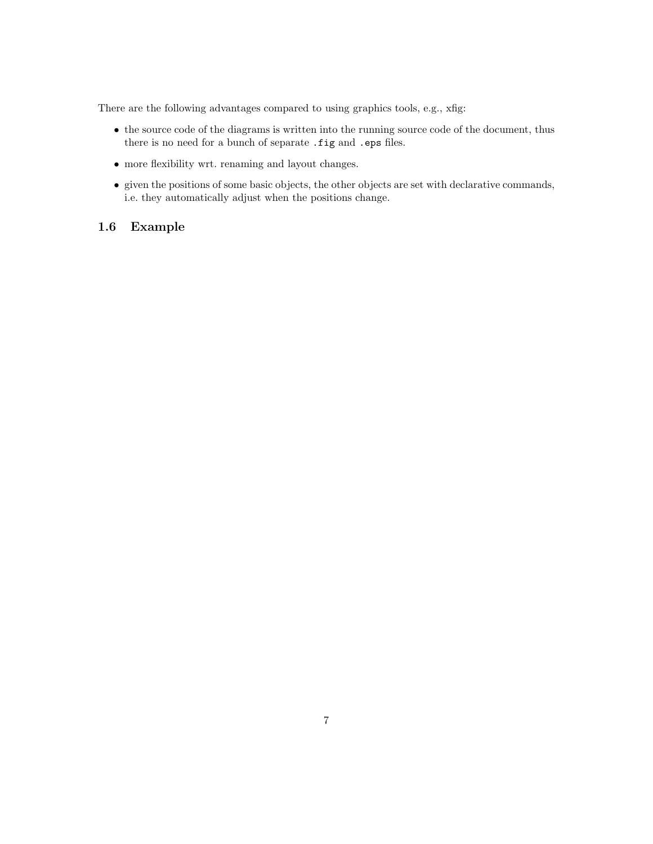There are the following advantages compared to using graphics tools, e.g., xfig:

- the source code of the diagrams is written into the running source code of the document, thus there is no need for a bunch of separate .fig and .eps files.
- more flexibility wrt. renaming and layout changes.
- given the positions of some basic objects, the other objects are set with declarative commands, i.e. they automatically adjust when the positions change.

## 1.6 Example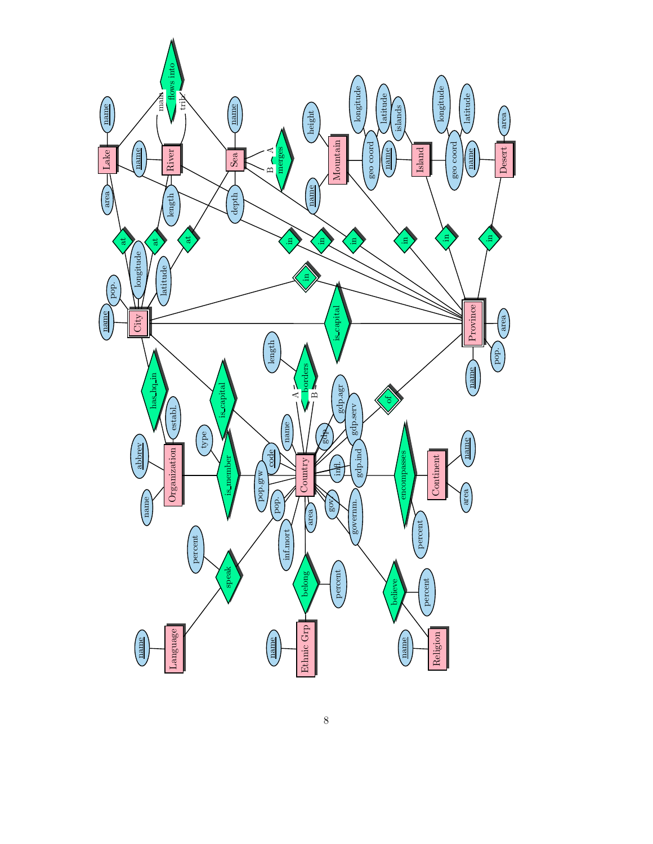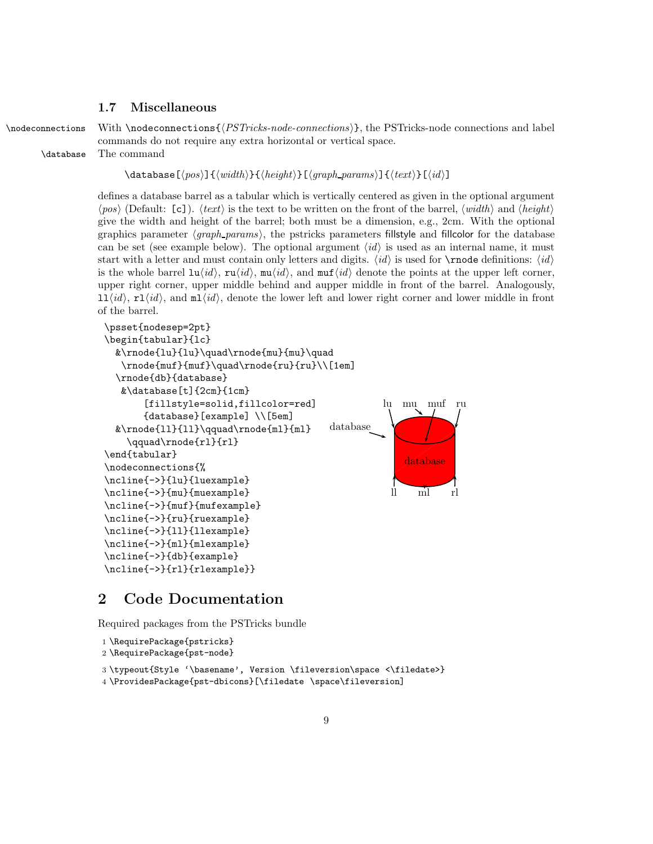## 1.7 Miscellaneous

\nodeconnections With \nodeconnections{ $\{PSTricks-node-connections\}$ }, the PSTricks-node connections and label commands do not require any extra horizontal or vertical space. \database The command

 $\delta$ \database[ $\langle pos \rangle$ ]{ $\langle width \rangle$ }{ $\langle height \rangle$ ][ $\langle graph\_params \rangle$ ]{ $\langle text \rangle$ ][ $\langle id \rangle$ ]

defines a database barrel as a tabular which is vertically centered as given in the optional argument  $\langle pos \rangle$  (Default: [c]).  $\langle text \rangle$  is the text to be written on the front of the barrel,  $\langle width \rangle$  and  $\langle height \rangle$ give the width and height of the barrel; both must be a dimension, e.g., 2cm. With the optional graphics parameter  $\langle graph\_params \rangle$ , the pstricks parameters fillstyle and fillcolor for the database can be set (see example below). The optional argument  $\langle id \rangle$  is used as an internal name, it must start with a letter and must contain only letters and digits.  $\langle id \rangle$  is used for \rnode definitions:  $\langle id \rangle$ is the whole barrel  $\text{lu}(id)$ ,  $\text{ru}(id)$ ,  $\text{nu}(id)$ , and  $\text{mut}(id)$  denote the points at the upper left corner, upper right corner, upper middle behind and aupper middle in front of the barrel. Analogously,  $11(id)$ ,  $r1(id)$ , and  $m1(id)$ , denote the lower left and lower right corner and lower middle in front of the barrel.



## 2 Code Documentation

Required packages from the PSTricks bundle

```
1 \RequirePackage{pstricks}
2 \RequirePackage{pst-node}
```

```
3 \typeout{Style '\basename', Version \fileversion\space <\filedate>}
4 \ProvidesPackage{pst-dbicons}[\filedate \space\fileversion]
```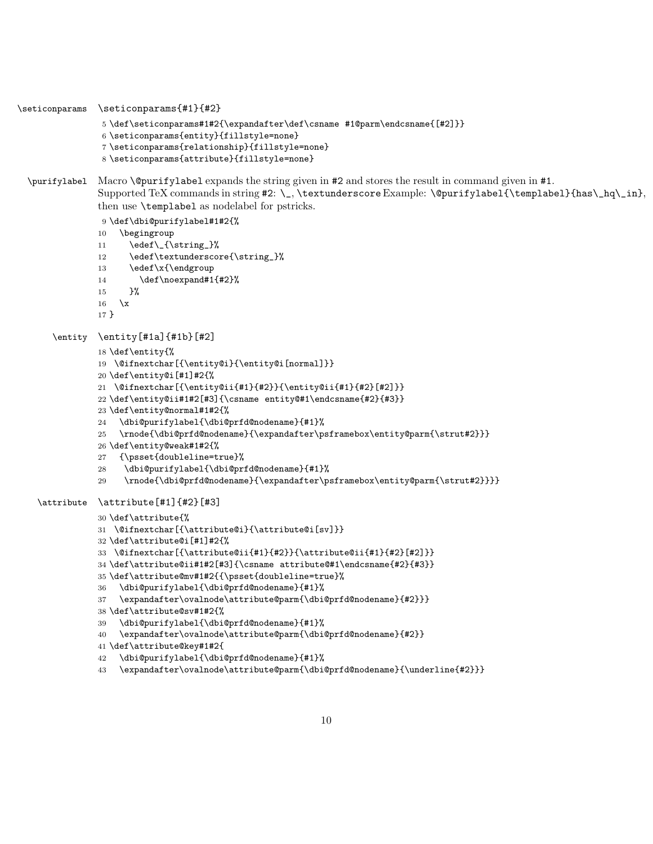```
\seticonparams \seticonparams{#1}{#2}
                5 \def\seticonparams#1#2{\expandafter\def\csname #1@parm\endcsname{[#2]}}
                6 \seticonparams{entity}{fillstyle=none}
                7 \seticonparams{relationship}{fillstyle=none}
                8 \seticonparams{attribute}{fillstyle=none}
 \purifylabel Macro \@purifylabel expands the string given in #2 and stores the result in command given in #1.
                Supported TeX commands in string \#2: \_ \text{underscore} Example: \@purifylabel{\templabel}{has}\_ hq\_in\},
                then use \templabel as nodelabel for pstricks.
                9 \def\dbi@purifylabel#1#2{%
                10 \begingroup
                11 \edef\_{\string_}%
                12 \edef\textunderscore{\string_}%
                13 \edef\x{\endgroup
                14 \def\noexpand#1{#2}%
                15 }%
                16 \quad \forall x17 }
      \entity \entity[#1a]{#1b}[#2]
               18 \def\entity{%
                19 \@ifnextchar[{\entity@i}{\entity@i[normal]}}
                20 \def\entity@i[#1]#2{%
                21 \@ifnextchar[{\entity@ii{#1}{#2}}{\entity@ii{#1}{#2}[#2]}}
                22 \def\entity@ii#1#2[#3]{\csname entity@#1\endcsname{#2}{#3}}
                23 \def\entity@normal#1#2{%
                24 \dbi@purifylabel{\dbi@prfd@nodename}{#1}%
                25 \rnode{\dbi@prfd@nodename}{\expandafter\psframebox\entity@parm{\strut#2}}}
                26 \def\entity@weak#1#2{%
                27 {\psset{doubleline=true}%
                28 \dbi@purifylabel{\dbi@prfd@nodename}{#1}%
                29 \rnode{\dbi@prfd@nodename}{\expandafter\psframebox\entity@parm{\strut#2}}}}
   \attribute \attribute[#1]{#2}[#3]
                30 \def\attribute{%
                31 \@ifnextchar[{\attribute@i}{\attribute@i[sv]}}
               32 \def\attribute@i[#1]#2{%
               33 \@ifnextchar[{\attribute@ii{#1}{#2}}{\attribute@ii{#1}{#2}[#2]}}
                34 \def\attribute@ii#1#2[#3]{\csname attribute@#1\endcsname{#2}{#3}}
                35 \def\attribute@mv#1#2{{\psset{doubleline=true}%
               36 \dbi@purifylabel{\dbi@prfd@nodename}{#1}%
                37 \expandafter\ovalnode\attribute@parm{\dbi@prfd@nodename}{#2}}}
                38 \def\attribute@sv#1#2{%
                39 \dbi@purifylabel{\dbi@prfd@nodename}{#1}%
                40 \expandafter\ovalnode\attribute@parm{\dbi@prfd@nodename}{#2}}
                41 \def\attribute@key#1#2{
                42 \dbi@purifylabel{\dbi@prfd@nodename}{#1}%
                43 \expandafter\ovalnode\attribute@parm{\dbi@prfd@nodename}{\underline{#2}}}
```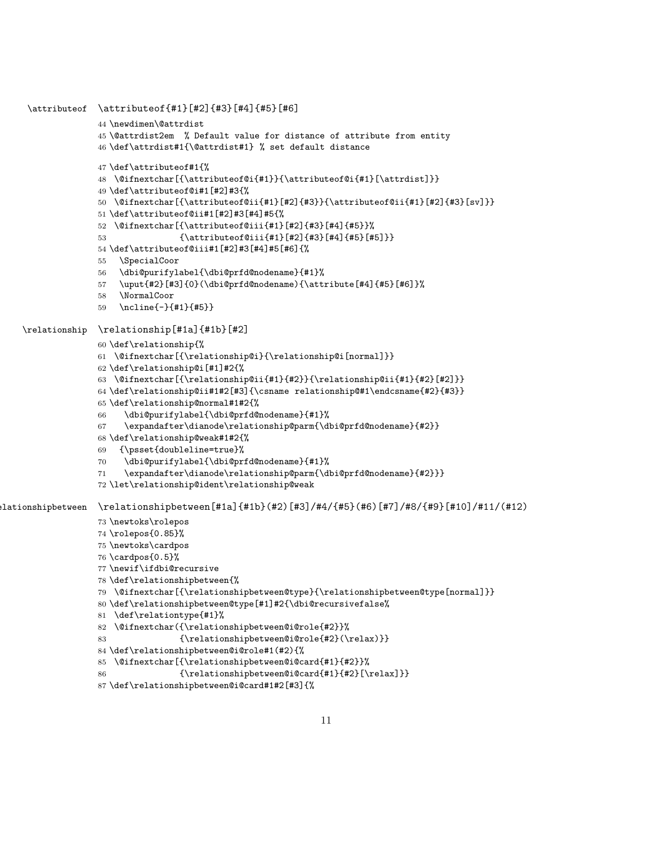```
\attributeof \attributeof{#1}[#2]{#3}[#4]{#5}[#6]
                  44 \newdimen\@attrdist
                   45 \@attrdist2em % Default value for distance of attribute from entity
                  46 \def\attrdist#1{\@attrdist#1} % set default distance
                  47 \def\attributeof#1{%
                   48 \@ifnextchar[{\attributeof@i{#1}}{\attributeof@i{#1}[\attrdist]}}
                  49 \def\attributeof@i#1[#2]#3{%
                   50 \@ifnextchar[{\attributeof@ii{#1}[#2]{#3}}{\attributeof@ii{#1}[#2]{#3}[sv]}}
                   51 \def\attributeof@ii#1[#2]#3[#4]#5{%
                  52 \@ifnextchar[{\attributeof@iii{#1}[#2]{#3}[#4]{#5}}%
                  53 {\attributeof@iii{#1}[#2]{#3}[#4]{#5}[#5]}}
                  54 \def\attributeof@iii#1[#2]#3[#4]#5[#6]{%
                  55 \SpecialCoor
                  56 \dbi@purifylabel{\dbi@prfd@nodename}{#1}%
                  57 \uput{#2}[#3]{0}(\dbi@prfd@nodename){\attribute[#4]{#5}[#6]}%
                  58 \NormalCoor
                  59 \ncline{-}{#1}{#5}}
    \relationship \relationship[#1a]{#1b}[#2]
                   60 \def\relationship{%
                  61 \@ifnextchar[{\relationship@i}{\relationship@i[normal]}}
                  62 \def\relationship@i[#1]#2{%
                  63 \@ifnextchar[{\relationship@ii{#1}{#2}}{\relationship@ii{#1}{#2}[#2]}}
                   64 \def\relationship@ii#1#2[#3]{\csname relationship@#1\endcsname{#2}{#3}}
                   65 \def\relationship@normal#1#2{%
                   66 \dbi@purifylabel{\dbi@prfd@nodename}{#1}%
                   67 \expandafter\dianode\relationship@parm{\dbi@prfd@nodename}{#2}}
                   68 \def\relationship@weak#1#2{%
                   69 {\psset{doubleline=true}%
                   70 \dbi@purifylabel{\dbi@prfd@nodename}{#1}%
                   71 \expandafter\dianode\relationship@parm{\dbi@prfd@nodename}{#2}}}
                   72 \let\relationship@ident\relationship@weak
\relationshipbetween \relationshipbetween[#1a]{#1b}(#2)[#3]/#4/{#5}(#6)[#7]/#8/{#9}[#10]/#11/(#12)
                   73 \newtoks\rolepos
                   74 \rolepos{0.85}%
                   75 \newtoks\cardpos
                   76 \cardpos{0.5}%
                  77 \newif\ifdbi@recursive
                  78 \def\relationshipbetween{%
                  79 \@ifnextchar[{\relationshipbetween@type}{\relationshipbetween@type[normal]}}
                  80 \def\relationshipbetween@type[#1]#2{\dbi@recursivefalse%
                   81 \def\relationtype{#1}%
                  82 \@ifnextchar({\relationshipbetween@i@role{#2}}%
                  83 {\relationshipbetween@i@role{#2}(\relax)}}
                   84 \def\relationshipbetween@i@role#1(#2){%
                   85 \@ifnextchar[{\relationshipbetween@i@card{#1}{#2}}%
                   86 {\relationshipbetween@i@card{#1}{#2}[\relax]}}
                   87 \def\relationshipbetween@i@card#1#2[#3]{%
```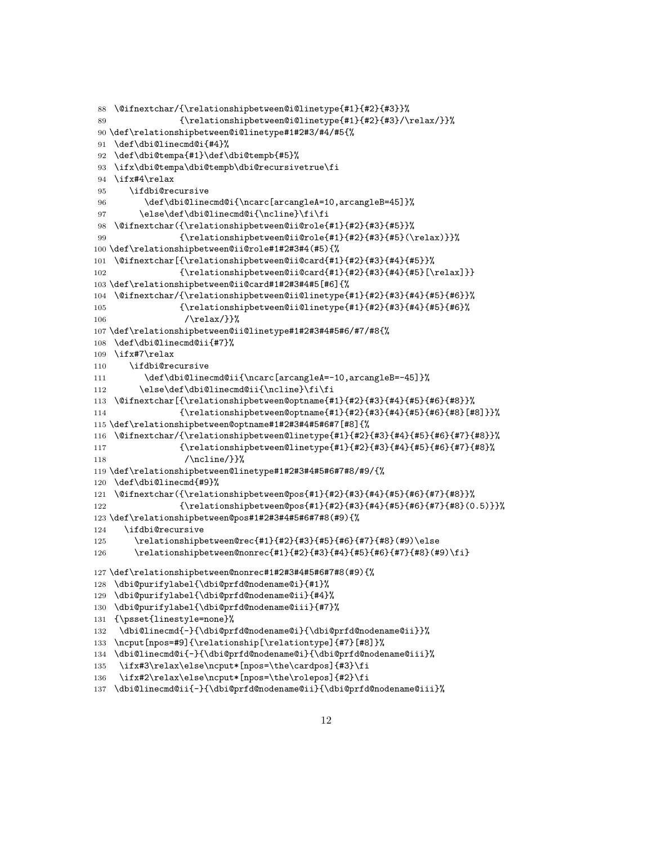```
88 \@ifnextchar/{\relationshipbetween@i@linetype{#1}{#2}{#3}}%
89 {\relationshipbetween@i@linetype{#1}{#2}{#3}/\relax/}}%
90 \def\relationshipbetween@i@linetype#1#2#3/#4/#5{%
91 \def\dbi@linecmd@i{#4}%
92 \def\dbi@tempa{#1}\def\dbi@tempb{#5}%
93 \ifx\dbi@tempa\dbi@tempb\dbi@recursivetrue\fi
94 \ifx#4\relax
95 \ifdbi@recursive
96 \def\dbi@linecmd@i{\ncarc[arcangleA=10,arcangleB=45]}%
97 \else\def\dbi@linecmd@i{\ncline}\fi\fi
98 \@ifnextchar({\relationshipbetween@ii@role{#1}{#2}{#3}{#5}}%
99 {\relationshipbetween@ii@role{#1}{#2}{#3}{#5}(\relax)}}%
100 \def\relationshipbetween@ii@role#1#2#3#4(#5){%
101 \@ifnextchar[{\relationshipbetween@ii@card{#1}{#2}{#3}{#4}{#5}}%
102 {\relationshipbetween@ii@card{#1}{#2}{#3}{#4}{#5}[\relax]}}
103 \def\relationshipbetween@ii@card#1#2#3#4#5[#6]{%
104 \@ifnextchar/{\relationshipbetween@ii@linetype{#1}{#2}{#3}{#4}{#5}{#6}}%
105 {\relationshipbetween@ii@linetype{#1}{#2}{#3}{#4}{#5}{#6}%
106 /\relax/}}%
107 \def\relationshipbetween@ii@linetype#1#2#3#4#5#6/#7/#8{%
108 \def\dbi@linecmd@ii{#7}%
109 \ifx#7\relax
110 \ifdbi@recursive
111 \def\dbi@linecmd@ii{\ncarc[arcangleA=-10,arcangleB=-45]}%
112 \else\def\dbi@linecmd@ii{\ncline}\fi\fi
113 \@ifnextchar[{\relationshipbetween@optname{#1}{#2}{#3}{#4}{#5}{#6}{#8}}%
114 {\relationshipbetween@optname{#1}{#2}{#3}{#4}{#5}{#6}{#8}[#8]}}%
115 \def\relationshipbetween@optname#1#2#3#4#5#6#7[#8]{%
116 \@ifnextchar/{\relationshipbetween@linetype{#1}{#2}{#3}{#4}{#5}{#6}{#7}{#8}}%
117 {\relationshipbetween@linetype{#1}{#2}{#3}{#4}{#5}{#6}{#7}{#8}%
118 /\ncline/}}%
119 \def\relationshipbetween@linetype#1#2#3#4#5#6#7#8/#9/{%
120 \def\dbi@linecmd{#9}%
121 \@ifnextchar({\relationshipbetween@pos{#1}{#2}{#3}{#4}{#5}{#6}{#7}{#8}}%
122 {\relationshipbetween@pos{#1}{#2}{#3}{#4}{#5}{#6}{#7}{#8}(0.5)}}
123 \def\relationshipbetween@pos#1#2#3#4#5#6#7#8(#9){%
124 \ifdbi@recursive
125 \relationshipbetween@rec{#1}{#2}{#3}{#5}{#6}{#7}{#8}(#9)\else
126 \relationshipbetween@nonrec{#1}{#2}{#3}{#4}{#5}{#6}{#7}{#8}(#9)\fi}
127 \def\relationshipbetween@nonrec#1#2#3#4#5#6#7#8(#9){%
128 \dbi@purifylabel{\dbi@prfd@nodename@i}{#1}%
129 \dbi@purifylabel{\dbi@prfd@nodename@ii}{#4}%
130 \dbi@purifylabel{\dbi@prfd@nodename@iii}{#7}%
131 {\psset{linestyle=none}%
132 \dbi@linecmd{-}{\dbi@prfd@nodename@i}{\dbi@prfd@nodename@ii}}%
133 \ncput[npos=#9]{\relationship[\relationtype]{#7}[#8]}%
134 \dbi@linecmd@i{-}{\dbi@prfd@nodename@i}{\dbi@prfd@nodename@iii}%
135 \ifx#3\relax\else\ncput*[npos=\the\cardpos]{#3}\fi
136 \ifx#2\relax\else\ncput*[npos=\the\rolepos]{#2}\fi
```

```
137 \dbi@linecmd@ii{-}{\dbi@prfd@nodename@ii}{\dbi@prfd@nodename@iii}%
```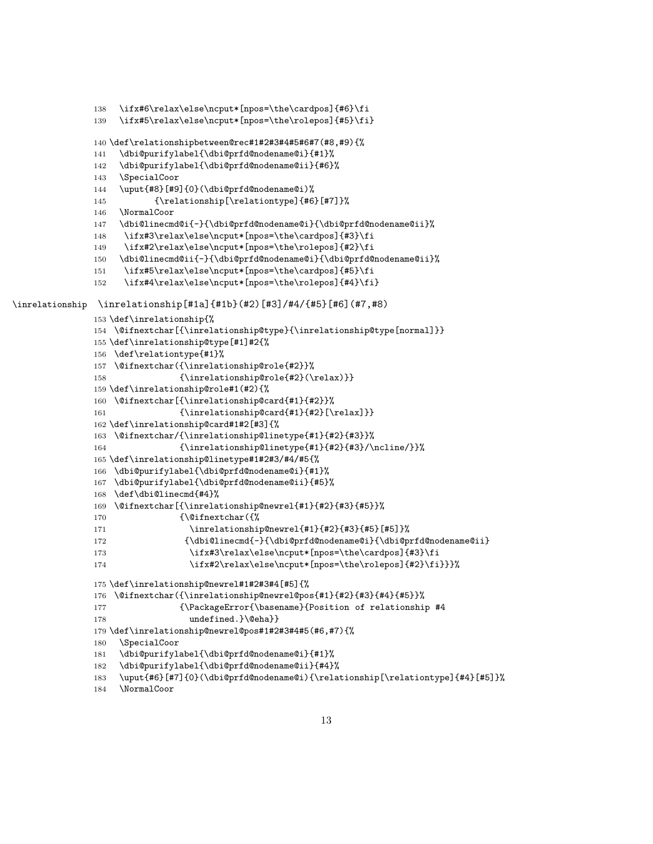```
138 \ifx#6\relax\else\ncput*[npos=\the\cardpos]{#6}\fi
               139 \ifx#5\relax\else\ncput*[npos=\the\rolepos]{#5}\fi}
               140 \def\relationshipbetween@rec#1#2#3#4#5#6#7(#8,#9){%
               141 \dbi@purifylabel{\dbi@prfd@nodename@i}{#1}%
               142 \dbi@purifylabel{\dbi@prfd@nodename@ii}{#6}%
               143 \SpecialCoor
               144 \uput{#8}[#9]{0}(\dbi@prfd@nodename@i)%
               145 {\relationship[\relationtype]{#6}[#7]}%
               146 \NormalCoor
               147 \dbi@linecmd@i{-}{\dbi@prfd@nodename@i}{\dbi@prfd@nodename@ii}%
               148 \ifx#3\relax\else\ncput*[npos=\the\cardpos]{#3}\fi
               149 \ifx#2\relax\else\ncput*[npos=\the\rolepos]{#2}\fi
               150 \dbi@linecmd@ii{-}{\dbi@prfd@nodename@i}{\dbi@prfd@nodename@ii}%
               151 \ifx#5\relax\else\ncput*[npos=\the\cardpos]{#5}\fi
               152 \ifx#4\relax\else\ncput*[npos=\the\rolepos]{#4}\fi}
\inrelationship \inrelationship[#1a]{#1b}(#2)[#3]/#4/{#5}[#6](#7,#8)
               153 \def\inrelationship{%
               154 \@ifnextchar[{\inrelationship@type}{\inrelationship@type[normal]}}
               155 \def\inrelationship@type[#1]#2{%
               156 \def\relationtype{#1}%
               157 \@ifnextchar({\inrelationship@role{#2}}%
               158 {\inrelationship@role{#2}(\relax)}}
               159 \def\inrelationship@role#1(#2){%
               160 \@ifnextchar[{\inrelationship@card{#1}{#2}}%
               161 {\inrelationship@card{#1}{#2}[\relax]}}
               162 \def\inrelationship@card#1#2[#3]{%
               163 \@ifnextchar/{\inrelationship@linetype{#1}{#2}{#3}}%
               164 {\inrelationship@linetype{#1}{#2}{#3}/\ncline/}}%
               165 \def\inrelationship@linetype#1#2#3/#4/#5{%
               166 \dbi@purifylabel{\dbi@prfd@nodename@i}{#1}%
               167 \dbi@purifylabel{\dbi@prfd@nodename@ii}{#5}%
               168 \def\dbi@linecmd{#4}%
               169 \@ifnextchar[{\inrelationship@newrel{#1}{#2}{#3}{#5}}%
               170 {\@ifnextchar({%}
               171 \inrelationship@newrel{#1}{#2}{#3}{#5}[#5]}%
               172 {\dbi@linecmd{-}{\dbi@prfd@nodename@i}{\dbi@prfd@nodename@ii}
               173 \ifx#3\relax\else\ncput*[npos=\the\cardpos]{#3}\fi
               174 \ifx#2\relax\else\ncput*[npos=\the\rolepos]{#2}\fi}}}%
               175 \def\inrelationship@newrel#1#2#3#4[#5]{%
               176 \@ifnextchar({\inrelationship@newrel@pos{#1}{#2}{#3}{#4}{#5}}%
               177 {\Pack}\b{} {\PackageError{\basename}{Position of relationship #4
               178 undefined.}\@eha}}
               179 \def\inrelationship@newrel@pos#1#2#3#4#5(#6,#7){%
               180 \SpecialCoor
               181 \dbi@purifylabel{\dbi@prfd@nodename@i}{#1}%
               182 \dbi@purifylabel{\dbi@prfd@nodename@ii}{#4}%
               183 \uput{#6}[#7]{0}(\dbi@prfd@nodename@i){\relationship[\relationtype]{#4}[#5]}%
               184 \NormalCoor
```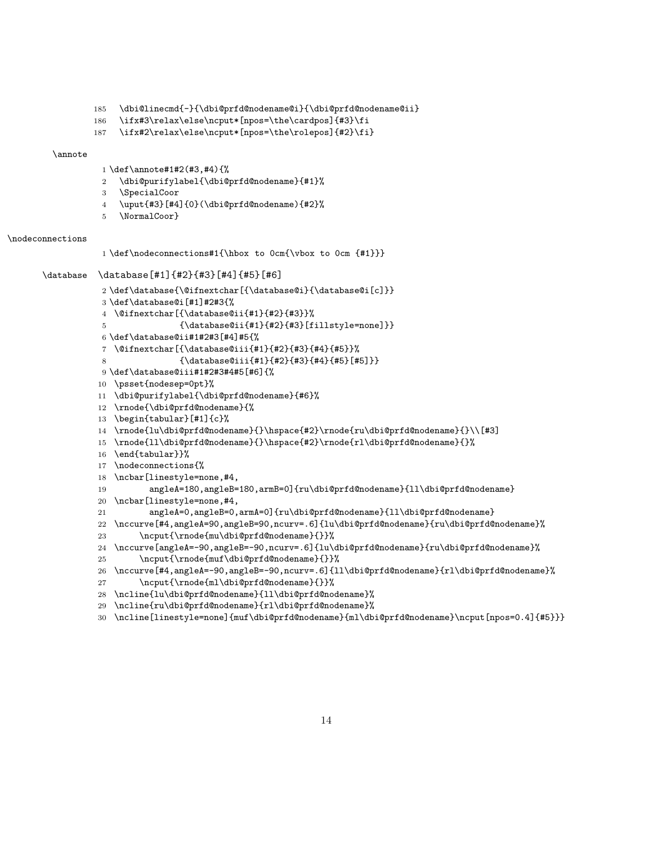- \dbi@linecmd{-}{\dbi@prfd@nodename@i}{\dbi@prfd@nodename@ii}
- \ifx#3\relax\else\ncput\*[npos=\the\cardpos]{#3}\fi
- \ifx#2\relax\else\ncput\*[npos=\the\rolepos]{#2}\fi}

#### \annote

\def\annote#1#2(#3,#4){%

- \dbi@purifylabel{\dbi@prfd@nodename}{#1}%
- \SpecialCoor
- \uput{#3}[#4]{0}(\dbi@prfd@nodename){#2}%
- \NormalCoor}

#### \nodeconnections

 \def\nodeconnections#1{\hbox to 0cm{\vbox to 0cm {#1}}} \database \database[#1]{#2}{#3}[#4]{#5}[#6]

```
2 \def\database{\@ifnextchar[{\database@i}{\database@i[c]}}
3 \def\database@i[#1]#2#3{%
4 \@ifnextchar[{\database@ii{#1}{#2}{#3}}%
```

```
5 {\database@ii{#1}{#2}{#3}[fillstyle=none]}}
```
\def\database@ii#1#2#3[#4]#5{%

```
7 \@ifnextchar[{\database@iii{#1}{#2}{#3}{#4}{#5}}%
8 {\database@iii{#1}{#2}{#3}{#4}{#5}[#5]}}
```
- \def\database@iii#1#2#3#4#5[#6]{%
- \psset{nodesep=0pt}%
- \dbi@purifylabel{\dbi@prfd@nodename}{#6}%
- \rnode{\dbi@prfd@nodename}{%
- \begin{tabular}[#1]{c}%

```
14 \rnode{lu\dbi@prfd@nodename}{}\hspace{#2}\rnode{ru\dbi@prfd@nodename}{}\\[#3]
```
- \rnode{ll\dbi@prfd@nodename}{}\hspace{#2}\rnode{rl\dbi@prfd@nodename}{}%
- \end{tabular}}%
- \nodeconnections{%
- \ncbar[linestyle=none,#4,

```
19 angleA=180,angleB=180,armB=0]{ru\dbi@prfd@nodename}{ll\dbi@prfd@nodename}
20 \ncbar[linestyle=none,#4,
```

```
21 angleA=0,angleB=0,armA=0]{ru\dbi@prfd@nodename}{ll\dbi@prfd@nodename}
```

```
22 \nccurve[#4,angleA=90,angleB=90,ncurv=.6]{lu\dbi@prfd@nodename}{ru\dbi@prfd@nodename}%
23 \ncput{\rnode{mu\dbi@prfd@nodename}{}}%
```

```
24 \nccurve[angleA=-90,angleB=-90,ncurv=.6]{lu\dbi@prfd@nodename}{ru\dbi@prfd@nodename}%
25 \ncput{\rnode{muf\dbi@prfd@nodename}{}}%
```

```
26 \nccurve[#4,angleA=-90,angleB=-90,ncurv=.6]{ll\dbi@prfd@nodename}{rl\dbi@prfd@nodename}%
27 \ncput{\rnode{ml\dbi@prfd@nodename}{}}%
```

```
28 \ncline{lu\dbi@prfd@nodename}{ll\dbi@prfd@nodename}%
```

```
29 \ncline{ru\dbi@prfd@nodename}{rl\dbi@prfd@nodename}%
```

```
30 \ncline[linestyle=none]{muf\dbi@prfd@nodename}{ml\dbi@prfd@nodename}\ncput[npos=0.4]{#5}}}
```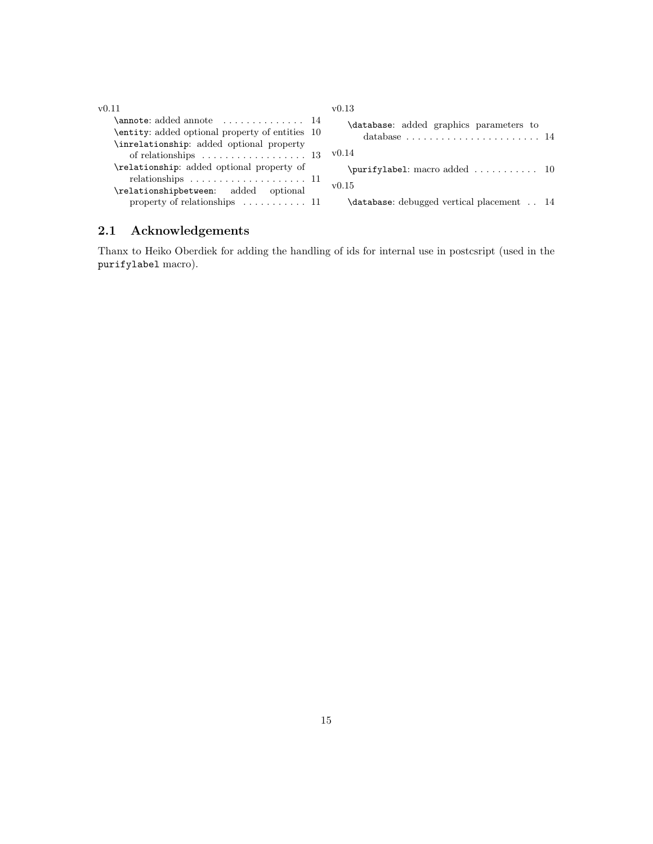| v0.11                                                                                                      | v0.13                                                |
|------------------------------------------------------------------------------------------------------------|------------------------------------------------------|
| $\lambda$ annote: added annote $\dots\dots\dots\dots$ 14<br>entity: added optional property of entities 10 | \database: added graphics parameters to              |
| \inrelationship: added optional property<br>of relationships $\ldots \ldots \ldots \ldots \ldots 13$       | v(0.14)                                              |
| \relationship: added optional property of<br>relationships $\ldots \ldots \ldots \ldots \ldots \ldots 11$  | $\{\text{purifylabel}: macro added  \dots 10\}$      |
| \relationshipbetween: added optional<br>property of relationships $\dots \dots \dots \dots$ 11             | v(0.15)<br>\database: debugged vertical placement 14 |

# 2.1 Acknowledgements

Thanx to Heiko Oberdiek for adding the handling of ids for internal use in postcsript (used in the purifylabel macro).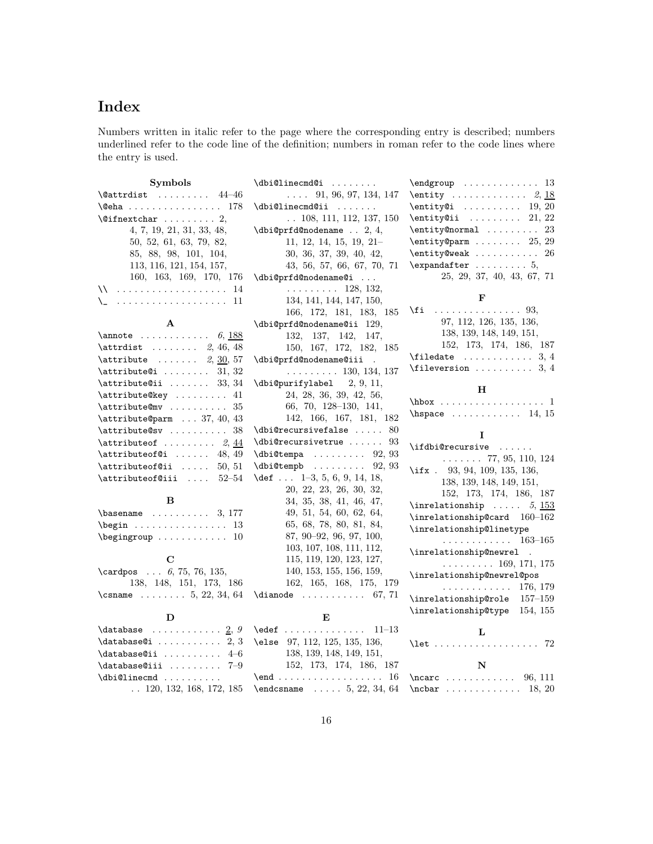# Index

Numbers written in italic refer to the page where the corresponding entry is described; numbers underlined refer to the code line of the definition; numbers in roman refer to the code lines where the entry is used.

| Symbols                                                                | \dbi@linecmd@i                                     |                                                     |
|------------------------------------------------------------------------|----------------------------------------------------|-----------------------------------------------------|
| $\lambda$ attrdist  44-46                                              | $\ldots$ 91, 96, 97, 134, 147                      | $\text{entity}$ 2, 18                               |
| $\text{Qeha}$ 178                                                      | \dbi@linecmd@ii                                    | $\text{entity@i} \ldots \ldots \ldots \quad 19, 20$ |
| $\left\{ \text{Different} \ldots \ldots \right\}$                      | $\ldots$ 108, 111, 112, 137, 150                   | $\text{unity}\$ 21, 22                              |
| 4, 7, 19, 21, 31, 33, 48,                                              | $\delta$ . 2, 4,                                   | $\text{Centity@normal} \dots \dots \dots 23$        |
| 50, 52, 61, 63, 79, 82,                                                | $11, 12, 14, 15, 19, 21-$                          | $\text{entity@param} \ldots 25, 29$                 |
| 85, 88, 98, 101, 104,                                                  | 30, 36, 37, 39, 40, 42,                            | $\entity@weak  \ldots 26$                           |
| 113, 116, 121, 154, 157,                                               | 43, 56, 57, 66, 67, 70, 71                         | $\text{expandafter} \ldots \ldots \ldots 5,$        |
| 160, 163, 169, 170, 176                                                | \dbi@prfd@nodename@i                               | 25, 29, 37, 40, 43, 67, 71                          |
| $\mathcal{N}$ 14                                                       | $\dots \dots \dots \dots$ 128, 132,                |                                                     |
|                                                                        | 134, 141, 144, 147, 150,                           | F                                                   |
|                                                                        | 166, 172, 181, 183, 185                            | $\setminus$ fi  93,                                 |
| A                                                                      | \dbi@prfd@nodename@ii 129,                         | 97, 112, 126, 135, 136,                             |
|                                                                        | 132, 137, 142, 147,                                | 138, 139, 148, 149, 151,                            |
| $\text{attrdist}$ $2, 46, 48$                                          | 150, 167, 172, 182, 185                            | 152, 173, 174, 186, 187                             |
| $\text{attribute} \dots \dots \quad 2, \underline{30}, \underline{57}$ | \dbi@prfd@nodename@iii .                           |                                                     |
| $\text{lattice@i} \ldots \ldots \quad 31, 32$                          | $\ldots \ldots \ldots 130, 134, 137$               | $\lvert$ ileversion  3, 4                           |
| $\text{lattice(i)} \ldots \ldots \quad 33, 34$                         | $\delta$ ) dbi@purifylabel 2, 9, 11,               |                                                     |
| \attribute@key  41                                                     | 24, 28, 36, 39, 42, 56,                            | H                                                   |
| $\text{lattice@mv} \ldots \ldots \ldots 35$                            | 66, 70, 128-130, 141,                              | $hbox \ldots \ldots \ldots 1$                       |
| $\text{lattice}$ 37, 40, 43                                            | 142, 166, 167, 181, 182                            | $\hbox{\tt hspace} \ldots \ldots 14, 15$            |
| $\texttt{lattice@sv} \dots \dots \dots 38$                             | $\delta$ 80                                        | L                                                   |
| $\text{lattice}$ 2, 44                                                 | $\delta$ \dbi@recursivetrue $93$                   | \ifdbi@recursive                                    |
| $\text{lattice} 1 \ldots 48, 49$                                       | $\delta$ $92, 93$                                  | $\ldots$ 77, 95, 110, 124                           |
| $\text{lattice}$ 50, 51                                                | $\delta$ 92, 93                                    | $\iota$ ifx . 93, 94, 109, 135, 136,                |
| \attributeof@iii<br>$52 - 54$                                          | \def $1-3, 5, 6, 9, 14, 18,$                       | 138, 139, 148, 149, 151,                            |
|                                                                        | 20, 22, 23, 26, 30, 32,                            | 152, 173, 174, 186, 187                             |
| в                                                                      | 34, 35, 38, 41, 46, 47,                            | \inrelationship $5, 153$                            |
| $\{\text{basename} \dots \dots \dots \quad 3, 177\}$                   | 49, 51, 54, 60, 62, 64,                            | $\in$ 160-162                                       |
| $\begin{bmatrix} \text{begin} 13 \end{bmatrix}$                        | 65, 68, 78, 80, 81, 84,                            | \inrelationship@linetype                            |
| $\begin{array}{ccc}\n\text{begin} 10\n\end{array}$                     | $87, 90-92, 96, 97, 100,$                          | $\cdots \cdots \cdots \cdots 163-165$               |
|                                                                        | 103, 107, 108, 111, 112,                           | \inrelationship@newrel .                            |
| C                                                                      | 115, 119, 120, 123, 127,                           | $\ldots \ldots \ldots 169, 171, 175$                |
| $\text{cardpos}$ 6, 75, 76, 135,                                       | 140, 153, 155, 156, 159,                           | \inrelationship@newrel@pos                          |
| 138, 148, 151, 173, 186                                                | 162, 165, 168, 175, 179                            | . 176, 179                                          |
| \csname $\ldots$ 5, 22, 34, 64                                         | $\lambda$ = $67, 71$                               | $\in$ 157-159                                       |
|                                                                        |                                                    | \inrelationship@type 154, 155                       |
| D                                                                      | Е                                                  |                                                     |
| $\texttt{database} \dots \dots \dots \underline{2}, 9$                 | $\text{led}$ 11-13                                 | L                                                   |
| $\lambda$ stabase i  2, 3                                              | \else 97, 112, 125, 135, 136,                      | $\texttt{let} \dots \dots \dots \dots \dots 72$     |
| $\database0ii$ 4-6                                                     | 138, 139, 148, 149, 151,                           |                                                     |
| $\verb+\database0iii 7-9$                                              | 152, 173, 174, 186, 187                            | N                                                   |
|                                                                        | $\text{end} \ldots \ldots \ldots \ldots \ldots 16$ | $\n\text{ncarc }    96, 111$                        |
| $\ldots$ 120, 132, 168, 172, 185                                       | $\end{math}$ 5, 22, 34, 64                         | $\backslash$ ncbar  18, 20                          |